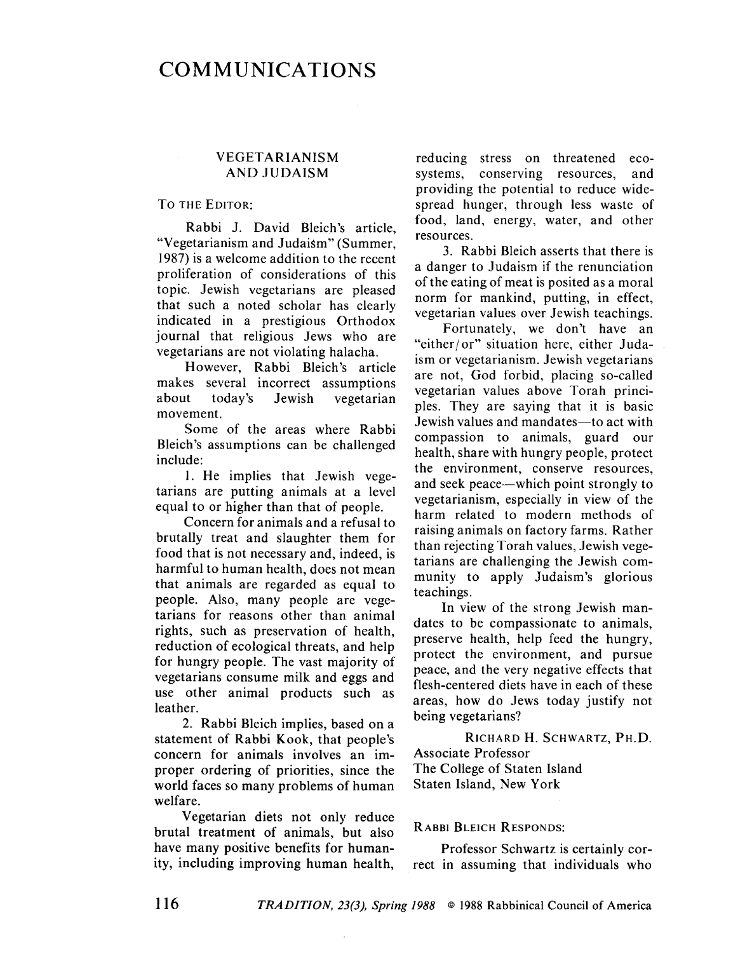# **COMMUNICATIONS**

# **VEGETARIANISM** AND JUDAISM

### TO THE EDITOR:

Rabbi J. David Bleich's article, "Vegetarianism and Judaism" (Summer, 1987) is a welcome addition to the recent proliferation of considerations of this topic\_ Jewish vegetarians are pleased that such a noted scholar has clearly indicated in a prestigious Orthodox journal that religious Jews who are vegetarians arc not violating halacha.

However, Rabbi Bleich's article makes several incorrect assumptions about today's Jewish vegetarian movement.

Some of the areas where Rabbi Bleich's assumptions can be challenged include:

i. He implies that Jewish vegetarians are putting animals at a level equal to or higher than that of people.

Concern for animals and a refusal to brutally treat and slaughter them for food that is not necessary and, indeed, is harmful to human health, does not mean that animals are regarded as equal to people. Also, many people are vegetarians for reasons other than animal rights, such as preservation of health, reduction of ecological threats, and hclp for hungry people. The vast majority of vegetarians consume milk and eggs and use other animal products such as leather.

2. Rabbi Blcich implies, based on a statement of Rabbi Kook, that people's concern for animals involves an improper ordering of priorities, since the world faces so many problems of human welfare.

Vegetarian diets not only reduce brutal treatment of animals, but also have many positive benefits for humanity, including improving human health,

reducing stress on threatened ecosystems, conserving resources, and providing the potential to reduce widespread hunger, through less waste of food, land, energy, water, and other resources.

3. Rabbi Bleich asserts that there is a danger to Judaism if the renunciation of the eating of meat is posited as a moral norm for mankind, putting, in effect, vegetarian values over Jewish teachings.

Fortunately, we don't have an "either/or" situation here, either Judaism or vegetarianism. Jewish vegetarians are not, God forbid, placing so-called vegetarian values above Torah principles. They are saying that it is basic Jewish values and mandates-to act with compassion to animals, guard our health, share with hungry people, protect the environment, conserve resources, and seek peace—which point strongly to vegetarianism, especially in view of the harm related to modern methods of raising animals on factory farms. Rather than rejecting Torah values, Jewish vegetarians are challenging the Jewish community to apply Judaism's glorious teachings.

In view of the strong Jewish mandates to be compassionate to animals, preserve health, help feed the hungry, protect the environment, and pursue peacc, and the very negative effects that flesh-centered diets have in each of these areas, how do Jews today justify not being vegetarians?

RICHARD H. SCHWARTZ, PH.D. Associate Professor The College of Staten Island Staten Island, New York

#### RABBI BLEICH RESPONDS:

Professor Schwartz is certainly correct in assuming that individuals who